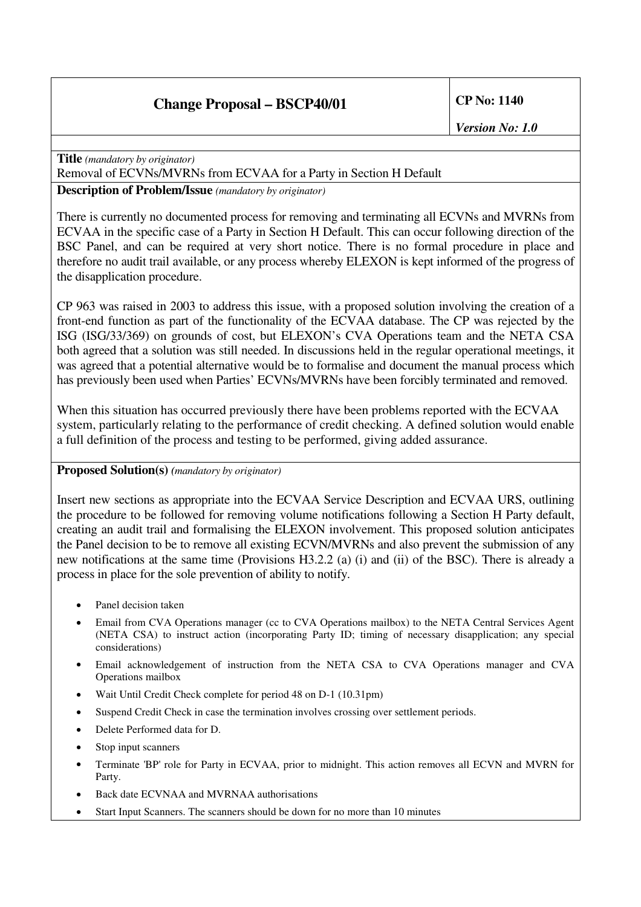# **Change Proposal – BSCP40/01 CP No: 1140**

*Version No: 1.0*

**Title** *(mandatory by originator)* Removal of ECVNs/MVRNs from ECVAA for a Party in Section H Default

**Description of Problem/Issue** *(mandatory by originator)*

There is currently no documented process for removing and terminating all ECVNs and MVRNs from ECVAA in the specific case of a Party in Section H Default. This can occur following direction of the BSC Panel, and can be required at very short notice. There is no formal procedure in place and therefore no audit trail available, or any process whereby ELEXON is kept informed of the progress of the disapplication procedure.

CP 963 was raised in 2003 to address this issue, with a proposed solution involving the creation of a front-end function as part of the functionality of the ECVAA database. The CP was rejected by the ISG (ISG/33/369) on grounds of cost, but ELEXON's CVA Operations team and the NETA CSA both agreed that a solution was still needed. In discussions held in the regular operational meetings, it was agreed that a potential alternative would be to formalise and document the manual process which has previously been used when Parties' ECVNs/MVRNs have been forcibly terminated and removed.

When this situation has occurred previously there have been problems reported with the ECVAA system, particularly relating to the performance of credit checking. A defined solution would enable a full definition of the process and testing to be performed, giving added assurance.

### **Proposed Solution(s)** *(mandatory by originator)*

Insert new sections as appropriate into the ECVAA Service Description and ECVAA URS, outlining the procedure to be followed for removing volume notifications following a Section H Party default, creating an audit trail and formalising the ELEXON involvement. This proposed solution anticipates the Panel decision to be to remove all existing ECVN/MVRNs and also prevent the submission of any new notifications at the same time (Provisions H3.2.2 (a) (i) and (ii) of the BSC). There is already a process in place for the sole prevention of ability to notify.

- Panel decision taken
- Email from CVA Operations manager (cc to CVA Operations mailbox) to the NETA Central Services Agent (NETA CSA) to instruct action (incorporating Party ID; timing of necessary disapplication; any special considerations)
- Email acknowledgement of instruction from the NETA CSA to CVA Operations manager and CVA Operations mailbox
- Wait Until Credit Check complete for period 48 on D-1 (10.31pm)
- Suspend Credit Check in case the termination involves crossing over settlement periods.
- Delete Performed data for D.
- Stop input scanners
- Terminate 'BP' role for Party in ECVAA, prior to midnight. This action removes all ECVN and MVRN for Party.
- Back date ECVNAA and MVRNAA authorisations
- Start Input Scanners. The scanners should be down for no more than 10 minutes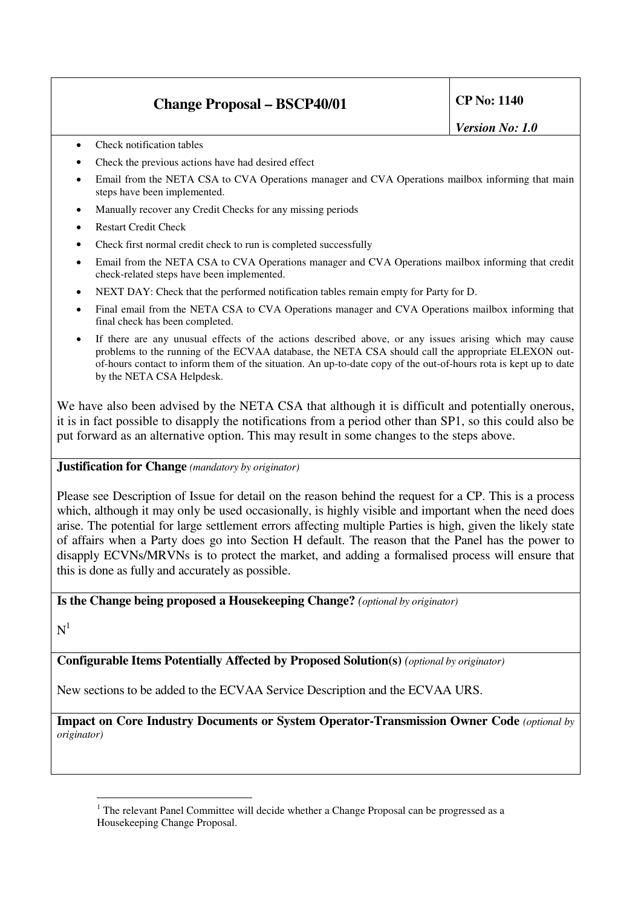# **Change Proposal – BSCP40/01 CP No: 1140**

*Version No: 1.0*

- Check notification tables
- Check the previous actions have had desired effect
- Email from the NETA CSA to CVA Operations manager and CVA Operations mailbox informing that main steps have been implemented.
- Manually recover any Credit Checks for any missing periods
- Restart Credit Check
- Check first normal credit check to run is completed successfully
- Email from the NETA CSA to CVA Operations manager and CVA Operations mailbox informing that credit check-related steps have been implemented.
- NEXT DAY: Check that the performed notification tables remain empty for Party for D.
- Final email from the NETA CSA to CVA Operations manager and CVA Operations mailbox informing that final check has been completed.
- If there are any unusual effects of the actions described above, or any issues arising which may cause problems to the running of the ECVAA database, the NETA CSA should call the appropriate ELEXON outof-hours contact to inform them of the situation. An up-to-date copy of the out-of-hours rota is kept up to date by the NETA CSA Helpdesk.

We have also been advised by the NETA CSA that although it is difficult and potentially onerous, it is in fact possible to disapply the notifications from a period other than SP1, so this could also be put forward as an alternative option. This may result in some changes to the steps above.

### **Justification for Change** *(mandatory by originator)*

Please see Description of Issue for detail on the reason behind the request for a CP. This is a process which, although it may only be used occasionally, is highly visible and important when the need does arise. The potential for large settlement errors affecting multiple Parties is high, given the likely state of affairs when a Party does go into Section H default. The reason that the Panel has the power to disapply ECVNs/MRVNs is to protect the market, and adding a formalised process will ensure that this is done as fully and accurately as possible.

### **Is the Change being proposed a Housekeeping Change?** *(optional by originator)*

 $N<sup>1</sup>$ 

**Configurable Items Potentially Affected by Proposed Solution(s)** *(optional by originator)*

New sections to be added to the ECVAA Service Description and the ECVAA URS.

**Impact on Core Industry Documents or System Operator-Transmission Owner Code** *(optional by originator)*

<sup>&</sup>lt;sup>1</sup> The relevant Panel Committee will decide whether a Change Proposal can be progressed as a Housekeeping Change Proposal.